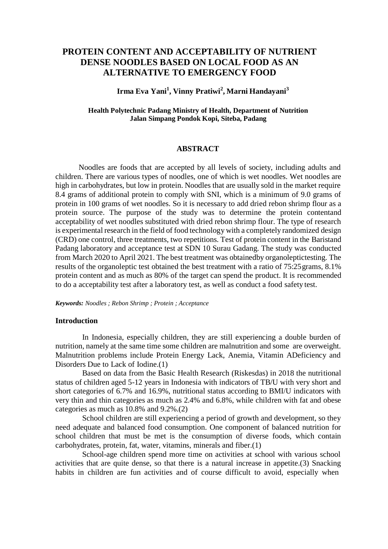# **PROTEIN CONTENT AND ACCEPTABILITY OF NUTRIENT DENSE NOODLES BASED ON LOCAL FOOD AS AN ALTERNATIVE TO EMERGENCY FOOD**

# **Irma Eva Yani<sup>1</sup> , Vinny Pratiwi<sup>2</sup> , Marni Handayani<sup>3</sup>**

### **Health Polytechnic Padang Ministry of Health, Department of Nutrition Jalan Simpang Pondok Kopi, Siteba, Padang**

### **ABSTRACT**

Noodles are foods that are accepted by all levels of society, including adults and children. There are various types of noodles, one of which is wet noodles. Wet noodles are high in carbohydrates, but low in protein. Noodles that are usually sold in the market require 8.4 grams of additional protein to comply with SNI, which is a minimum of 9.0 grams of protein in 100 grams of wet noodles. So it is necessary to add dried rebon shrimp flour as a protein source. The purpose of the study was to determine the protein contentand acceptability of wet noodles substituted with dried rebon shrimp flour. The type of research is experimental research in the field of food technology with a completely randomized design (CRD) one control, three treatments, two repetitions. Test of protein content in the Baristand Padang laboratory and acceptance test at SDN 10 Surau Gadang. The study was conducted from March 2020 to April 2021. The best treatment was obtainedby organoleptictesting. The results of the organoleptic test obtained the best treatment with a ratio of 75:25 grams, 8.1% protein content and as much as 80% of the target can spend the product. It is recommended to do a acceptability test after a laboratory test, as well as conduct a food safety test.

*Keywords: Noodles ; Rebon Shrimp ; Protein ; Acceptance*

#### **Introduction**

In Indonesia, especially children, they are still experiencing a double burden of nutrition, namely at the same time some children are malnutrition and some are overweight. Malnutrition problems include Protein Energy Lack, Anemia, Vitamin ADeficiency and Disorders Due to Lack of Iodine.(1)

Based on data from the Basic Health Research (Riskesdas) in 2018 the nutritional status of children aged 5-12 years in Indonesia with indicators of TB/U with very short and short categories of 6.7% and 16.9%, nutritional status according to BMI/U indicators with very thin and thin categories as much as 2.4% and 6.8%, while children with fat and obese categories as much as 10.8% and 9.2%.(2)

School children are still experiencing a period of growth and development, so they need adequate and balanced food consumption. One component of balanced nutrition for school children that must be met is the consumption of diverse foods, which contain carbohydrates, protein, fat, water, vitamins, minerals and fiber.(1)

School-age children spend more time on activities at school with various school activities that are quite dense, so that there is a natural increase in appetite.(3) Snacking habits in children are fun activities and of course difficult to avoid, especially when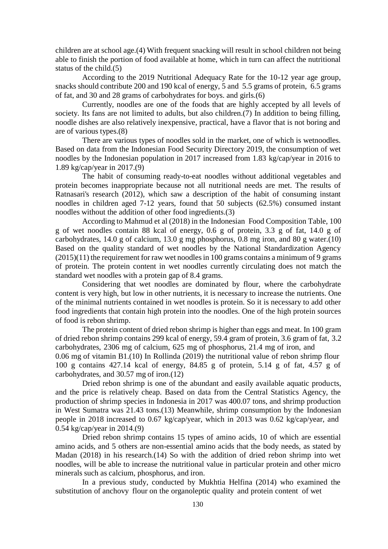children are at school age.(4) With frequent snacking will result in school children not being able to finish the portion of food available at home, which in turn can affect the nutritional status of the child.(5)

According to the 2019 Nutritional Adequacy Rate for the 10-12 year age group, snacks should contribute 200 and 190 kcal of energy, 5 and 5.5 grams of protein, 6.5 grams of fat, and 30 and 28 grams of carbohydrates for boys. and girls.(6)

Currently, noodles are one of the foods that are highly accepted by all levels of society. Its fans are not limited to adults, but also children. (7) In addition to being filling, noodle dishes are also relatively inexpensive, practical, have a flavor that is not boring and are of various types.(8)

There are various types of noodles sold in the market, one of which is wetnoodles. Based on data from the Indonesian Food Security Directory 2019, the consumption of wet noodles by the Indonesian population in 2017 increased from 1.83 kg/cap/year in 2016 to 1.89 kg/cap/year in 2017.(9)

The habit of consuming ready-to-eat noodles without additional vegetables and protein becomes inappropriate because not all nutritional needs are met. The results of Ratnasari's research (2012), which saw a description of the habit of consuming instant noodles in children aged 7-12 years, found that 50 subjects (62.5%) consumed instant noodles without the addition of other food ingredients.(3)

According to Mahmud et al (2018) in the Indonesian Food Composition Table, 100 g of wet noodles contain 88 kcal of energy, 0.6 g of protein, 3.3 g of fat, 14.0 g of carbohydrates, 14.0 g of calcium, 13.0 g mg phosphorus, 0.8 mg iron, and 80 g water.(10) Based on the quality standard of wet noodles by the National Standardization Agency (2015)(11) the requirement for raw wet noodles in 100 grams contains a minimum of 9 grams of protein. The protein content in wet noodles currently circulating does not match the standard wet noodles with a protein gap of 8.4 grams.

Considering that wet noodles are dominated by flour, where the carbohydrate content is very high, but low in other nutrients, it is necessary to increase the nutrients. One of the minimal nutrients contained in wet noodles is protein. So it is necessary to add other food ingredients that contain high protein into the noodles. One of the high protein sources of food is rebon shrimp.

The protein content of dried rebon shrimp is higher than eggs and meat. In 100 gram of dried rebon shrimp contains 299 kcal of energy, 59.4 gram of protein, 3.6 gram of fat, 3.2 carbohydrates, 2306 mg of calcium, 625 mg of phosphorus, 21.4 mg of iron, and 0.06 mg of vitamin B1.(10) In Rollinda (2019) the nutritional value of rebon shrimp flour 100 g contains 427.14 kcal of energy, 84.85 g of protein, 5.14 g of fat, 4.57 g of carbohydrates, and 30.57 mg of iron.(12)

Dried rebon shrimp is one of the abundant and easily available aquatic products, and the price is relatively cheap. Based on data from the Central Statistics Agency, the production of shrimp species in Indonesia in 2017 was 400.07 tons, and shrimp production in West Sumatra was 21.43 tons.(13) Meanwhile, shrimp consumption by the Indonesian people in 2018 increased to 0.67 kg/cap/year, which in 2013 was 0.62 kg/cap/year, and 0.54 kg/cap/year in 2014.(9)

Dried rebon shrimp contains 15 types of amino acids, 10 of which are essential amino acids, and 5 others are non-essential amino acids that the body needs, as stated by Madan (2018) in his research.(14) So with the addition of dried rebon shrimp into wet noodles, will be able to increase the nutritional value in particular protein and other micro minerals such as calcium, phosphorus, and iron.

In a previous study, conducted by Mukhtia Helfina (2014) who examined the substitution of anchovy flour on the organoleptic quality and protein content of wet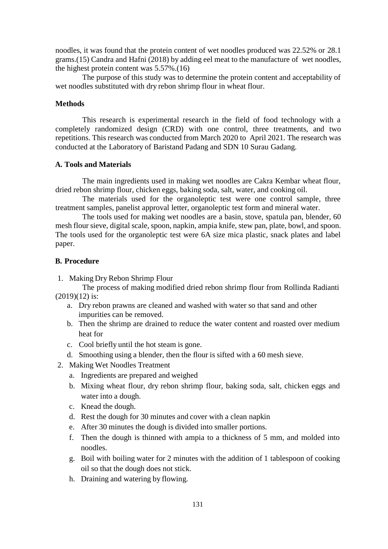noodles, it was found that the protein content of wet noodles produced was 22.52% or 28.1 grams.(15) Candra and Hafni (2018) by adding eel meat to the manufacture of wet noodles, the highest protein content was 5.57%.(16)

The purpose of this study was to determine the protein content and acceptability of wet noodles substituted with dry rebon shrimp flour in wheat flour.

### **Methods**

This research is experimental research in the field of food technology with a completely randomized design (CRD) with one control, three treatments, and two repetitions. This research was conducted from March 2020 to April 2021. The research was conducted at the Laboratory of Baristand Padang and SDN 10 Surau Gadang.

### **A. Tools and Materials**

The main ingredients used in making wet noodles are Cakra Kembar wheat flour, dried rebon shrimp flour, chicken eggs, baking soda, salt, water, and cooking oil.

The materials used for the organoleptic test were one control sample, three treatment samples, panelist approval letter, organoleptic test form and mineral water.

The tools used for making wet noodles are a basin, stove, spatula pan, blender, 60 mesh flour sieve, digital scale, spoon, napkin, ampia knife, stew pan, plate, bowl, and spoon. The tools used for the organoleptic test were 6A size mica plastic, snack plates and label paper.

### **B. Procedure**

1. Making Dry Rebon Shrimp Flour

The process of making modified dried rebon shrimp flour from Rollinda Radianti (2019)(12) is:

- a. Dry rebon prawns are cleaned and washed with water so that sand and other impurities can be removed.
- b. Then the shrimp are drained to reduce the water content and roasted over medium heat for
- c. Cool briefly until the hot steam is gone.
- d. Smoothing using a blender, then the flour is sifted with a 60 mesh sieve.
- 2. Making Wet Noodles Treatment
	- a. Ingredients are prepared and weighed
	- b. Mixing wheat flour, dry rebon shrimp flour, baking soda, salt, chicken eggs and water into a dough.
	- c. Knead the dough.
	- d. Rest the dough for 30 minutes and cover with a clean napkin
	- e. After 30 minutes the dough is divided into smaller portions.
	- f. Then the dough is thinned with ampia to a thickness of 5 mm, and molded into noodles.
	- g. Boil with boiling water for 2 minutes with the addition of 1 tablespoon of cooking oil so that the dough does not stick.
	- h. Draining and watering by flowing.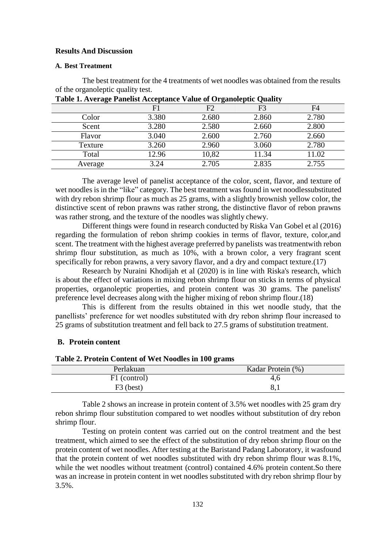### **Results And Discussion**

#### **A. Best Treatment**

The best treatment for the 4 treatments of wet noodles was obtained from the results of the organoleptic quality test.

| ັ       |       | $\overline{\phantom{0}}$ | -<br>$\sim$ |       |
|---------|-------|--------------------------|-------------|-------|
|         | F1    | F2                       | F3          | F4    |
| Color   | 3.380 | 2.680                    | 2.860       | 2.780 |
| Scent   | 3.280 | 2.580                    | 2.660       | 2.800 |
| Flavor  | 3.040 | 2.600                    | 2.760       | 2.660 |
| Texture | 3.260 | 2.960                    | 3.060       | 2.780 |
| Total   | 12.96 | 10,82                    | 11.34       | 11.02 |
| Average | 3.24  | 2.705                    | 2.835       | 2.755 |

**Table 1. Average Panelist Acceptance Value of Organoleptic Quality**

The average level of panelist acceptance of the color, scent, flavor, and texture of wet noodles is in the "like" category. The best treatment was found in wet noodlessubstituted with dry rebon shrimp flour as much as 25 grams, with a slightly brownish yellow color, the distinctive scent of rebon prawns was rather strong, the distinctive flavor of rebon prawns was rather strong, and the texture of the noodles was slightly chewy.

Different things were found in research conducted by Riska Van Gobel et al (2016) regarding the formulation of rebon shrimp cookies in terms of flavor, texture, color,and scent. The treatment with the highest average preferred by panelists was treatmentwith rebon shrimp flour substitution, as much as 10%, with a brown color, a very fragrant scent specifically for rebon prawns, a very savory flavor, and a dry and compact texture.(17)

Research by Nuraini Khodijah et al (2020) is in line with Riska's research, which is about the effect of variations in mixing rebon shrimp flour on sticks in terms of physical properties, organoleptic properties, and protein content was 30 grams. The panelists' preference level decreases along with the higher mixing of rebon shrimp flour.(18)

This is different from the results obtained in this wet noodle study, that the panellists' preference for wet noodles substituted with dry rebon shrimp flour increased to 25 grams of substitution treatment and fell back to 27.5 grams of substitution treatment.

#### **B. Protein content**

### **Table 2. Protein Content of Wet Noodles in 100 grams**

| Perlakuan    | Kadar Protein (%) |
|--------------|-------------------|
| F1 (control) | 4,6               |
| $F3$ (best)  | 8,1               |

Table 2 shows an increase in protein content of 3.5% wet noodles with 25 gram dry rebon shrimp flour substitution compared to wet noodles without substitution of dry rebon shrimp flour.

Testing on protein content was carried out on the control treatment and the best treatment, which aimed to see the effect of the substitution of dry rebon shrimp flour on the protein content of wet noodles. After testing at the Baristand Padang Laboratory, it wasfound that the protein content of wet noodles substituted with dry rebon shrimp flour was 8.1%, while the wet noodles without treatment (control) contained 4.6% protein content.So there was an increase in protein content in wet noodles substituted with dry rebon shrimp flour by 3.5%.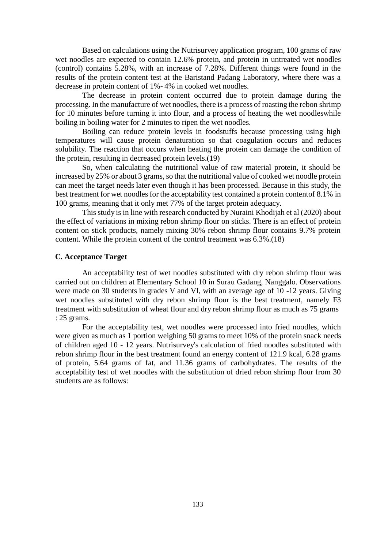Based on calculations using the Nutrisurvey application program, 100 grams of raw wet noodles are expected to contain 12.6% protein, and protein in untreated wet noodles (control) contains 5.28%, with an increase of 7.28%. Different things were found in the results of the protein content test at the Baristand Padang Laboratory, where there was a decrease in protein content of 1%- 4% in cooked wet noodles.

The decrease in protein content occurred due to protein damage during the processing. In the manufacture of wet noodles, there is a process of roasting the rebon shrimp for 10 minutes before turning it into flour, and a process of heating the wet noodleswhile boiling in boiling water for 2 minutes to ripen the wet noodles.

Boiling can reduce protein levels in foodstuffs because processing using high temperatures will cause protein denaturation so that coagulation occurs and reduces solubility. The reaction that occurs when heating the protein can damage the condition of the protein, resulting in decreased protein levels.(19)

So, when calculating the nutritional value of raw material protein, it should be increased by 25% or about 3 grams, so that the nutritional value of cooked wet noodle protein can meet the target needs later even though it has been processed. Because in this study, the best treatment for wet noodles for the acceptability test contained a protein contentof 8.1% in 100 grams, meaning that it only met 77% of the target protein adequacy.

This study is in line with research conducted by Nuraini Khodijah et al (2020) about the effect of variations in mixing rebon shrimp flour on sticks. There is an effect of protein content on stick products, namely mixing 30% rebon shrimp flour contains 9.7% protein content. While the protein content of the control treatment was 6.3%.(18)

## **C. Acceptance Target**

An acceptability test of wet noodles substituted with dry rebon shrimp flour was carried out on children at Elementary School 10 in Surau Gadang, Nanggalo. Observations were made on 30 students in grades V and VI, with an average age of 10 -12 years. Giving wet noodles substituted with dry rebon shrimp flour is the best treatment, namely F3 treatment with substitution of wheat flour and dry rebon shrimp flour as much as 75 grams : 25 grams.

For the acceptability test, wet noodles were processed into fried noodles, which were given as much as 1 portion weighing 50 grams to meet 10% of the protein snack needs of children aged 10 - 12 years. Nutrisurvey's calculation of fried noodles substituted with rebon shrimp flour in the best treatment found an energy content of 121.9 kcal, 6.28 grams of protein, 5.64 grams of fat, and 11.36 grams of carbohydrates. The results of the acceptability test of wet noodles with the substitution of dried rebon shrimp flour from 30 students are as follows: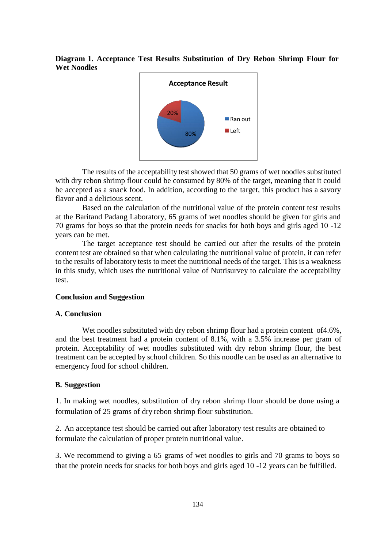### **Diagram 1. Acceptance Test Results Substitution of Dry Rebon Shrimp Flour for Wet Noodles**



The results of the acceptability test showed that 50 grams of wet noodles substituted with dry rebon shrimp flour could be consumed by 80% of the target, meaning that it could be accepted as a snack food. In addition, according to the target, this product has a savory flavor and a delicious scent.

Based on the calculation of the nutritional value of the protein content test results at the Baritand Padang Laboratory, 65 grams of wet noodles should be given for girls and 70 grams for boys so that the protein needs for snacks for both boys and girls aged 10 -12 years can be met.

The target acceptance test should be carried out after the results of the protein content test are obtained so that when calculating the nutritional value of protein, it can refer to the results of laboratory tests to meet the nutritional needs of the target. This is a weakness in this study, which uses the nutritional value of Nutrisurvey to calculate the acceptability test.

### **Conclusion and Suggestion**

### **A. Conclusion**

Wet noodles substituted with dry rebon shrimp flour had a protein content of 4.6%, and the best treatment had a protein content of 8.1%, with a 3.5% increase per gram of protein. Acceptability of wet noodles substituted with dry rebon shrimp flour, the best treatment can be accepted by school children. So this noodle can be used as an alternative to emergency food for school children.

### **B. Suggestion**

1. In making wet noodles, substitution of dry rebon shrimp flour should be done using a formulation of 25 grams of dry rebon shrimp flour substitution.

2. An acceptance test should be carried out after laboratory test results are obtained to formulate the calculation of proper protein nutritional value.

3. We recommend to giving a 65 grams of wet noodles to girls and 70 grams to boys so that the protein needs for snacks for both boys and girls aged 10 -12 years can be fulfilled.